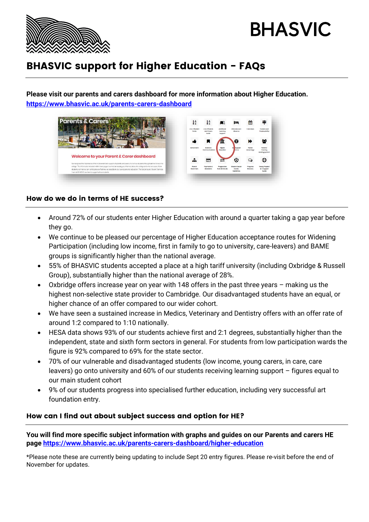

# **BHASVIC**

# BHASVIC support for Higher Education - FAQs

**Please visit our parents and carers dashboard for more information about Higher Education. <https://www.bhasvic.ac.uk/parents-carers-dashboard>**





## How do we do in terms of HE success?

- Around 72% of our students enter Higher Education with around a quarter taking a gap year before they go.
- We continue to be pleased our percentage of Higher Education acceptance routes for Widening Participation (including low income, first in family to go to university, care-leavers) and BAME groups is significantly higher than the national average.
- 55% of BHASVIC students accepted a place at a high tariff university (including Oxbridge & Russell Group), substantially higher than the national average of 28%.
- Oxbridge offers increase year on year with 148 offers in the past three years making us the highest non-selective state provider to Cambridge. Our disadvantaged students have an equal, or higher chance of an offer compared to our wider cohort.
- We have seen a sustained increase in Medics, Veterinary and Dentistry offers with an offer rate of around 1:2 compared to 1:10 nationally.
- HESA data shows 93% of our students achieve first and 2:1 degrees, substantially higher than the independent, state and sixth form sectors in general. For students from low participation wards the figure is 92% compared to 69% for the state sector.
- 70% of our vulnerable and disadvantaged students (low income, young carers, in care, care leavers) go onto university and 60% of our students receiving learning support – figures equal to our main student cohort
- 9% of our students progress into specialised further education, including very successful art foundation entry.

## How can I find out about subject success and option for HE?

**You will find more specific subject information with graphs and guides on our Parents and carers HE pag[e https://www.bhasvic.ac.uk/parents-carers-dashboard/higher-education](https://www.bhasvic.ac.uk/parents-carers-dashboard/higher-education)**

\*Please note these are currently being updating to include Sept 20 entry figures. Please re-visit before the end of November for updates.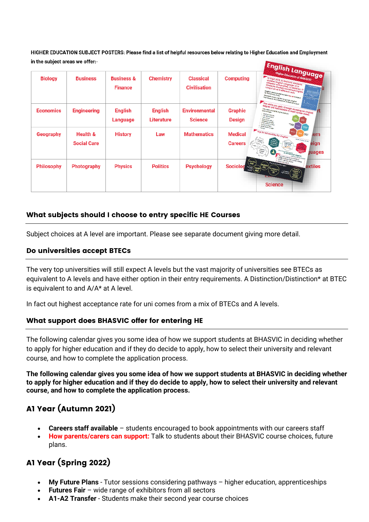HIGHER EDUCATION SUBJECT POSTERS: Please find a list of helpful resources below relating to Higher Education and Employment in the subject areas we offer:-

| <b>Biology</b>    | <b>Business</b>                           | <b>Business &amp;</b><br><b>Finance</b> | <b>Chemistry</b>             | <b>Classical</b><br><b>Civilisation</b> | Higher Education at BHASVIC 9e<br><b>Computing</b><br>In Sept 2018, 12 BHASVIC students<br>in Sept 2016, 12 BHASVIC Students<br>dillerent frollen Language at 11<br>dillerent university auge at 11<br>students university auge at 11<br>students studied combined frollen. 17<br>Lang & Lit at 8 dillerent unis<br>English remains year on year top ten subjects<br><b>Students study English Language, English</b><br>Literature or a combination of both of A level |                      |
|-------------------|-------------------------------------------|-----------------------------------------|------------------------------|-----------------------------------------|------------------------------------------------------------------------------------------------------------------------------------------------------------------------------------------------------------------------------------------------------------------------------------------------------------------------------------------------------------------------------------------------------------------------------------------------------------------------|----------------------|
| <b>Economics</b>  | <b>Engineering</b>                        | <b>English</b><br>Language              | <b>English</b><br>Literature | <b>Environmental</b><br><b>Science</b>  | The skills you gain through studying an English<br>degree are marketable in most career areas.<br><b>All They</b><br>Graphic<br>Arts administrator<br>Film director<br><b>Design</b><br><b>Information officer</b><br><b>Marketing concurrent</b><br>Public relations officer<br>Accords manager                                                                                                                                                                       |                      |
| Geography         | <b>Health &amp;</b><br><b>Social Care</b> | <b>History</b>                          | Law                          | <b>Mathematics</b>                      | Social media manager<br>Top 10 Universities for English<br><b>Medical</b><br><b>Design</b><br>Dank<br>St Ardis<br>Canada<br>Petimet A<br><b>Careers</b><br>A combined degree<br>tinguistics with Notries Chinese                                                                                                                                                                                                                                                       | ern<br>eign<br>uages |
| <b>Philosophy</b> | Photography                               | <b>Physics</b>                          | <b>Politics</b>              | <b>Psychology</b>                       | English Language and Creative Writing<br><b>Sociolog</b><br>extiles<br><b>Science</b>                                                                                                                                                                                                                                                                                                                                                                                  |                      |

### What subjects should I choose to entry specific HE Courses

Subject choices at A level are important. Please see separate document giving more detail.

#### Do universities accept BTECs

The very top universities will still expect A levels but the vast majority of universities see BTECs as equivalent to A levels and have either option in their entry requirements. A Distinction/Distinction\* at BTEC is equivalent to and A/A\* at A level.

In fact out highest acceptance rate for uni comes from a mix of BTECs and A levels.

#### What support does BHASVIC offer for entering HE

The following calendar gives you some idea of how we support students at BHASVIC in deciding whether to apply for higher education and if they do decide to apply, how to select their university and relevant course, and how to complete the application process.

**The following calendar gives you some idea of how we support students at BHASVIC in deciding whether to apply for higher education and if they do decide to apply, how to select their university and relevant course, and how to complete the application process.** 

## A1 Year (Autumn 2021)

- **Careers staff available** students encouraged to book appointments with our careers staff
- **How parents/carers can support:** Talk to students about their BHASVIC course choices, future plans.

## A1 Year (Spring 2022)

- **My Future Plans** Tutor sessions considering pathways higher education, apprenticeships
- **Futures Fair** wide range of exhibitors from all sectors
- **A1-A2 Transfer** Students make their second year course choices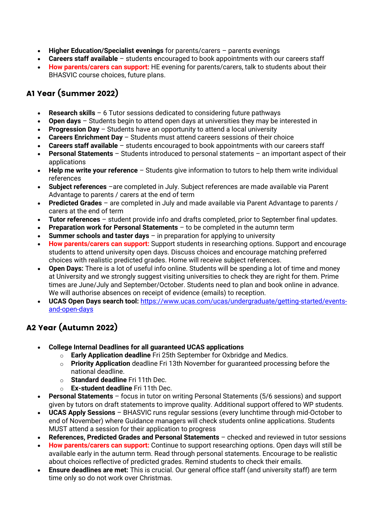- **Higher Education/Specialist evenings** for parents/carers parents evenings
- **Careers staff available** students encouraged to book appointments with our careers staff
- **How parents/carers can support:** HE evening for parents/carers, talk to students about their BHASVIC course choices, future plans.

# A1 Year (Summer 2022)

- **Research skills** 6 Tutor sessions dedicated to considering future pathways
- **Open days** Students begin to attend open days at universities they may be interested in
- **Progression Day** Students have an opportunity to attend a local university
- **Careers Enrichment Day** Students must attend careers sessions of their choice
- **Careers staff available** students encouraged to book appointments with our careers staff
- **Personal Statements** Students introduced to personal statements an important aspect of their applications
- **Help me write your reference** Students give information to tutors to help them write individual references
- **Subject references** –are completed in July. Subject references are made available via Parent Advantage to parents / carers at the end of term
- **Predicted Grades** are completed in July and made available via Parent Advantage to parents / carers at the end of term
- **Tutor references** student provide info and drafts completed, prior to September final updates.
- **Preparation work for Personal Statements** to be completed in the autumn term
- **Summer schools and taster days**  in preparation for applying to university
- **How parents/carers can support:** Support students in researching options. Support and encourage students to attend university open days. Discuss choices and encourage matching preferred choices with realistic predicted grades. Home will receive subject references.
- **Open Days:** There is a lot of useful info online. Students will be spending a lot of time and money at University and we strongly suggest visiting universities to check they are right for them. Prime times are June/July and September/October. Students need to plan and book online in advance. We will authorise absences on receipt of evidence (emails) to reception.
- UCAS Open Days search tool: [https://www.ucas.com/ucas/undergraduate/getting-started/events](https://www.ucas.com/ucas/undergraduate/getting-started/events-and-open-days)[and-open-days](https://www.ucas.com/ucas/undergraduate/getting-started/events-and-open-days)

# A2 Year (Autumn 2022)

- **College Internal Deadlines for all guaranteed UCAS applications**
	- o **Early Application deadline** Fri 25th September for Oxbridge and Medics.
		- o **Priority Application** deadline Fri 13th November for guaranteed processing before the national deadline.
		- o **Standard deadline** Fri 11th Dec.
		- o **Ex-student deadline** Fri 11th Dec.
- **Personal Statements** focus in tutor on writing Personal Statements (5/6 sessions) and support given by tutors on draft statements to improve quality. Additional support offered to WP students.
- **UCAS Apply Sessions** BHASVIC runs regular sessions (every lunchtime through mid-October to end of November) where Guidance managers will check students online applications. Students MUST attend a session for their application to progress
- **References, Predicted Grades and Personal Statements** checked and reviewed in tutor sessions
- **How parents/carers can support:** Continue to support researching options. Open days will still be available early in the autumn term. Read through personal statements. Encourage to be realistic about choices reflective of predicted grades. Remind students to check their emails.
- **Ensure deadlines are met:** This is crucial. Our general office staff (and university staff) are term time only so do not work over Christmas.